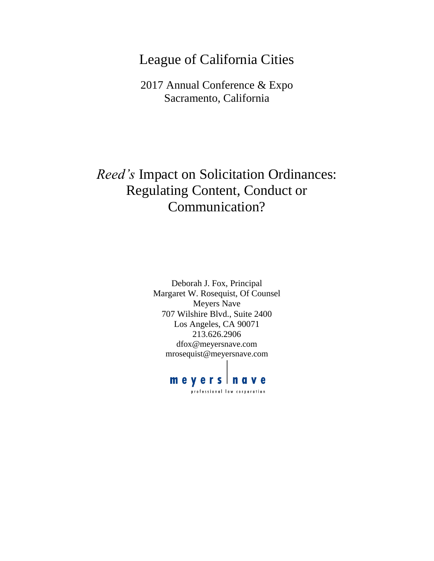# League of California Cities

2017 Annual Conference & Expo Sacramento, California

# *Reed's* Impact on Solicitation Ordinances: Regulating Content, Conduct or Communication?

Deborah J. Fox, Principal Margaret W. Rosequist, Of Counsel Meyers Nave 707 Wilshire Blvd., Suite 2400 Los Angeles, CA 90071 213.626.2906 dfox@meyersnave.com mrosequist@meyersnave.com

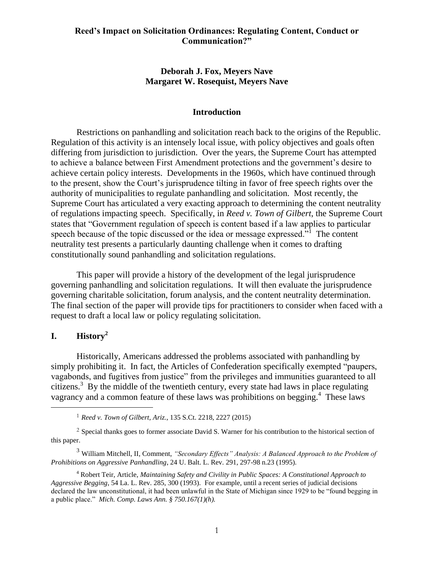#### **Deborah J. Fox, Meyers Nave Margaret W. Rosequist, Meyers Nave**

#### **Introduction**

Restrictions on panhandling and solicitation reach back to the origins of the Republic. Regulation of this activity is an intensely local issue, with policy objectives and goals often differing from jurisdiction to jurisdiction. Over the years, the Supreme Court has attempted to achieve a balance between First Amendment protections and the government's desire to achieve certain policy interests. Developments in the 1960s, which have continued through to the present, show the Court's jurisprudence tilting in favor of free speech rights over the authority of municipalities to regulate panhandling and solicitation. Most recently, the Supreme Court has articulated a very exacting approach to determining the content neutrality of regulations impacting speech. Specifically, in *Reed v. Town of Gilbert*, the Supreme Court states that "Government regulation of speech is content based if a law applies to particular speech because of the topic discussed or the idea or message expressed."<sup>1</sup> The content neutrality test presents a particularly daunting challenge when it comes to drafting constitutionally sound panhandling and solicitation regulations.

This paper will provide a history of the development of the legal jurisprudence governing panhandling and solicitation regulations. It will then evaluate the jurisprudence governing charitable solicitation, forum analysis, and the content neutrality determination. The final section of the paper will provide tips for practitioners to consider when faced with a request to draft a local law or policy regulating solicitation.

### **I. History<sup>2</sup>**

 $\overline{a}$ 

Historically, Americans addressed the problems associated with panhandling by simply prohibiting it. In fact, the Articles of Confederation specifically exempted "paupers, vagabonds, and fugitives from justice" from the privileges and immunities guaranteed to all citizens.<sup>3</sup> By the middle of the twentieth century, every state had laws in place regulating vagrancy and a common feature of these laws was prohibitions on begging.<sup>4</sup> These laws

<sup>1</sup> *Reed v. Town of Gilbert, Ariz.*, 135 S.Ct. 2218, 2227 (2015)

<sup>2</sup> Special thanks goes to former associate David S. Warner for his contribution to the historical section of this paper.

<sup>3</sup> William Mitchell, II, Comment, *"Secondary Effects" Analysis: A Balanced Approach to the Problem of Prohibitions on Aggressive Panhandling*, 24 U. Balt. L. Rev. 291, 297-98 n.23 (1995)*.*

<sup>4</sup> Robert Teir, Article, *Maintaining Safety and Civility in Public Spaces: A Constitutional Approach to Aggressive Begging*, 54 La. L. Rev. 285, 300 (1993)*.* For example, until a recent series of judicial decisions declared the law unconstitutional, it had been unlawful in the State of Michigan since 1929 to be "found begging in a public place." *Mich. Comp. Laws Ann. § 750.167(1)(h).*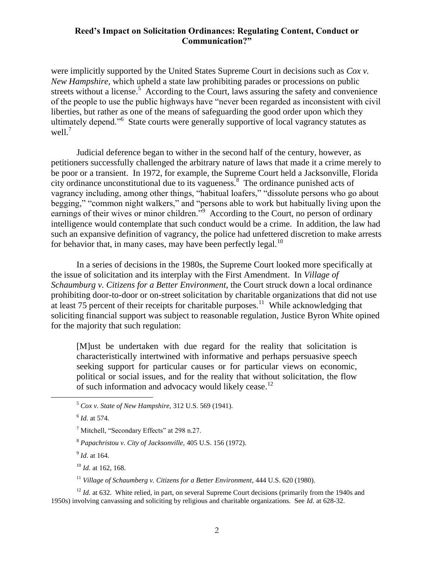were implicitly supported by the United States Supreme Court in decisions such as *Cox v. New Hampshire,* which upheld a state law prohibiting parades or processions on public streets without a license. $5$  According to the Court, laws assuring the safety and convenience of the people to use the public highways have "never been regarded as inconsistent with civil liberties, but rather as one of the means of safeguarding the good order upon which they ultimately depend."<sup>6</sup> State courts were generally supportive of local vagrancy statutes as well. $<sup>7</sup>$ </sup>

Judicial deference began to wither in the second half of the century, however, as petitioners successfully challenged the arbitrary nature of laws that made it a crime merely to be poor or a transient. In 1972, for example, the Supreme Court held a Jacksonville, Florida city ordinance unconstitutional due to its vagueness.<sup>8</sup> The ordinance punished acts of vagrancy including, among other things, "habitual loafers," "dissolute persons who go about begging," "common night walkers," and "persons able to work but habitually living upon the earnings of their wives or minor children.<sup>79</sup> According to the Court, no person of ordinary intelligence would contemplate that such conduct would be a crime. In addition, the law had such an expansive definition of vagrancy, the police had unfettered discretion to make arrests for behavior that, in many cases, may have been perfectly legal.<sup>10</sup>

In a series of decisions in the 1980s, the Supreme Court looked more specifically at the issue of solicitation and its interplay with the First Amendment. In *Village of Schaumburg v. Citizens for a Better Environment*, the Court struck down a local ordinance prohibiting door-to-door or on-street solicitation by charitable organizations that did not use at least  $75$  percent of their receipts for charitable purposes.<sup>11</sup> While acknowledging that soliciting financial support was subject to reasonable regulation, Justice Byron White opined for the majority that such regulation:

[M]ust be undertaken with due regard for the reality that solicitation is characteristically intertwined with informative and perhaps persuasive speech seeking support for particular causes or for particular views on economic, political or social issues, and for the reality that without solicitation, the flow of such information and advocacy would likely cease.<sup>12</sup>

 $\overline{a}$ 

9 *Id*. at 164.

<sup>10</sup> *Id.* at 162, 168.

<sup>11</sup> *Village of Schaumberg v. Citizens for a Better Environment*, 444 U.S. 620 (1980).

<sup>12</sup> *Id.* at 632. White relied, in part, on several Supreme Court decisions (primarily from the 1940s and 1950s) involving canvassing and soliciting by religious and charitable organizations. See *Id.* at 628-32.

<sup>5</sup> *Cox v. State of New Hampshire,* 312 U.S. 569 (1941)*.*

<sup>6</sup> *Id.* at 574*.*

<sup>7</sup> Mitchell, "Secondary Effects" at 298 n.27.

<sup>8</sup> *Papachristou v. City of Jacksonville,* 405 U.S. 156 (1972).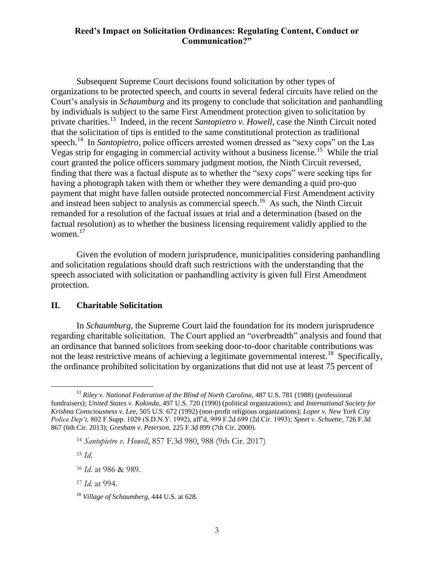Subsequent Supreme Court decisions found solicitation by other types of organizations to be protected speech, and courts in several federal circuits have relied on the Court's analysis in *Schaumburg* and its progeny to conclude that solicitation and panhandling by individuals is subject to the same First Amendment protection given to solicitation by private charities.<sup>13</sup> Indeed, in the recent *Santopietro v. Howell*, case the Ninth Circuit noted that the solicitation of tips is entitled to the same constitutional protection as traditional speech.<sup>14</sup> In *Santopietro*, police officers arrested women dressed as "sexy cops" on the Las Vegas strip for engaging in commercial activity without a business license.<sup>15</sup> While the trial court granted the police officers summary judgment motion, the Ninth Circuit reversed, finding that there was a factual dispute as to whether the "sexy cops" were seeking tips for having a photograph taken with them or whether they were demanding a quid pro-quo payment that might have fallen outside protected noncommercial First Amendment activity and instead been subject to analysis as commercial speech.<sup>16</sup> As such, the Ninth Circuit remanded for a resolution of the factual issues at trial and a determination (based on the factual resolution) as to whether the business licensing requirement validly applied to the women. $17$ 

Given the evolution of modern jurisprudence, municipalities considering panhandling and solicitation regulations should draft such restrictions with the understanding that the speech associated with solicitation or panhandling activity is given full First Amendment protection.

#### **II. Charitable Solicitation**

In *Schaumburg,* the Supreme Court laid the foundation for its modern jurisprudence regarding charitable solicitation. The Court applied an "overbreadth" analysis and found that an ordinance that banned solicitors from seeking door-to-door charitable contributions was not the least restrictive means of achieving a legitimate governmental interest.<sup>18</sup> Specifically, the ordinance prohibited solicitation by organizations that did not use at least 75 percent of

<sup>15</sup> *Id*.

<sup>&</sup>lt;sup>13</sup> *Riley v. National Federation of the Blind of North Carolina*, 487 U.S. 781 (1988) (professional fundraisers); *United States v. Kokinda,* 497 U.S. 720 (1990) (political organizations); and *International Society for Krishna Consciousness v. Lee,* 505 U.S. 672 (1992) (non-profit religious organizations); *Loper v. New York City Police Dep't,* 802 F.Supp. 1029 (S.D.N.Y. 1992), aff'd, 999 F.2d 699 (2d Cir. 1993); *Speet v. Schuette,* 726 F.3d 867 (6th Cir. 2013); *Gresham v. Peterson,* 225 F.3d 899 (7th Cir. 2000).

<sup>14</sup> *Santopietro v. Howell*, 857 F.3d 980, 988 (9th Cir. 2017)

<sup>16</sup> *Id*. at 986 & 989.

<sup>17</sup> *Id*. at 994.

<sup>18</sup> *Village of Schaumberg*, 444 U.S. at 628.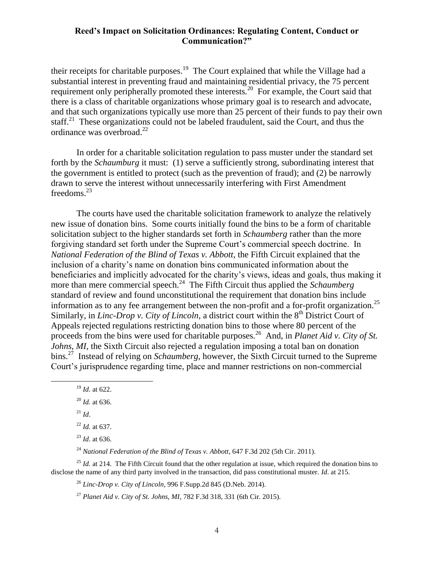their receipts for charitable purposes.<sup>19</sup> The Court explained that while the Village had a substantial interest in preventing fraud and maintaining residential privacy, the 75 percent requirement only peripherally promoted these interests.<sup>20</sup> For example, the Court said that there is a class of charitable organizations whose primary goal is to research and advocate, and that such organizations typically use more than 25 percent of their funds to pay their own staff.<sup>21</sup> These organizations could not be labeled fraudulent, said the Court, and thus the ordinance was overbroad.<sup>22</sup>

In order for a charitable solicitation regulation to pass muster under the standard set forth by the *Schaumburg* it must: (1) serve a sufficiently strong, subordinating interest that the government is entitled to protect (such as the prevention of fraud); and (2) be narrowly drawn to serve the interest without unnecessarily interfering with First Amendment freedoms.<sup>23</sup>

The courts have used the charitable solicitation framework to analyze the relatively new issue of donation bins. Some courts initially found the bins to be a form of charitable solicitation subject to the higher standards set forth in *Schaumberg* rather than the more forgiving standard set forth under the Supreme Court's commercial speech doctrine. In *National Federation of the Blind of Texas v. Abbott*, the Fifth Circuit explained that the inclusion of a charity's name on donation bins communicated information about the beneficiaries and implicitly advocated for the charity's views, ideas and goals, thus making it more than mere commercial speech.<sup>24</sup> The Fifth Circuit thus applied the *Schaumberg* standard of review and found unconstitutional the requirement that donation bins include information as to any fee arrangement between the non-profit and a for-profit organization.<sup>25</sup> Similarly, in *Linc-Drop v. City of Lincoln*, a district court within the 8<sup>th</sup> District Court of Appeals rejected regulations restricting donation bins to those where 80 percent of the proceeds from the bins were used for charitable purposes.<sup>26</sup> And, in *Planet Aid v. City of St. Johns*, *MI*, the Sixth Circuit also rejected a regulation imposing a total ban on donation bins.<sup>27</sup> Instead of relying on *Schaumberg*, however, the Sixth Circuit turned to the Supreme Court's jurisprudence regarding time, place and manner restrictions on non-commercial

<sup>19</sup> *Id*. at 622.

 $^{21}$  *Id*.

 $\overline{a}$ 

<sup>22</sup> *Id.* at 637.

<sup>24</sup> *National Federation of the Blind of Texas v. Abbott,* 647 F.3d 202 (5th Cir. 2011).

<sup>25</sup> *Id.* at 214. The Fifth Circuit found that the other regulation at issue, which required the donation bins to disclose the name of any third party involved in the transaction, did pass constitutional muster. *Id*. at 215.

<sup>26</sup> *Linc-Drop v. City of Lincoln*, 996 F.Supp.2d 845 (D.Neb. 2014).

<sup>27</sup> *Planet Aid v. City of St. Johns, MI*, 782 F.3d 318, 331 (6th Cir. 2015).

<sup>20</sup> *Id.* at 636.

<sup>23</sup> *Id*. at 636.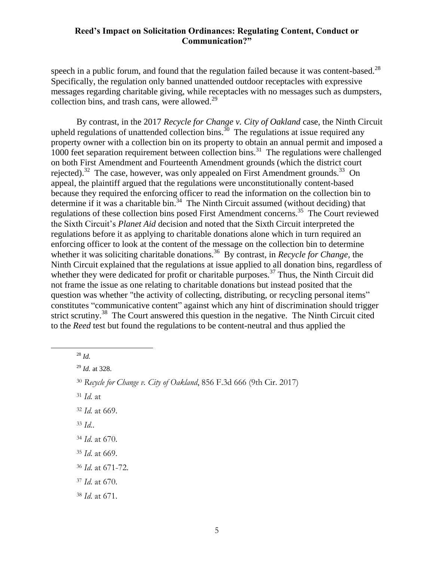speech in a public forum, and found that the regulation failed because it was content-based. $^{28}$ Specifically, the regulation only banned unattended outdoor receptacles with expressive messages regarding charitable giving, while receptacles with no messages such as dumpsters, collection bins, and trash cans, were allowed.<sup>29</sup>

By contrast, in the 2017 *Recycle for Change v. City of Oakland* case, the Ninth Circuit upheld regulations of unattended collection bins.<sup>30</sup> The regulations at issue required any property owner with a collection bin on its property to obtain an annual permit and imposed a 1000 feet separation requirement between collection bins.<sup>31</sup> The regulations were challenged on both First Amendment and Fourteenth Amendment grounds (which the district court rejected).<sup>32</sup> The case, however, was only appealed on First Amendment grounds.<sup>33</sup> On appeal, the plaintiff argued that the regulations were unconstitutionally content-based because they required the enforcing officer to read the information on the collection bin to determine if it was a charitable bin.<sup>34</sup> The Ninth Circuit assumed (without deciding) that regulations of these collection bins posed First Amendment concerns.<sup>35</sup> The Court reviewed the Sixth Circuit's *Planet Aid* decision and noted that the Sixth Circuit interpreted the regulations before it as applying to charitable donations alone which in turn required an enforcing officer to look at the content of the message on the collection bin to determine whether it was soliciting charitable donations.<sup>36</sup> By contrast, in *Recycle for Change*, the Ninth Circuit explained that the regulations at issue applied to all donation bins, regardless of whether they were dedicated for profit or charitable purposes.<sup>37</sup> Thus, the Ninth Circuit did not frame the issue as one relating to charitable donations but instead posited that the question was whether "the activity of collecting, distributing, or recycling personal items" constitutes "communicative content" against which any hint of discrimination should trigger strict scrutiny.<sup>38</sup> The Court answered this question in the negative. The Ninth Circuit cited to the *Reed* test but found the regulations to be content-neutral and thus applied the

<sup>28</sup> *Id.*

 $\overline{a}$ 

<sup>31</sup> *Id.* at

- <sup>33</sup> *Id.*.
- <sup>34</sup> *Id*. at 670.
- <sup>35</sup> *Id*. at 669.
- <sup>36</sup> *Id*. at 671-72.
- <sup>37</sup> *Id*. at 670.
- <sup>38</sup> *Id*. at 671.

<sup>29</sup> *Id.* at 328.

<sup>30</sup> *Recycle for Change v. City of Oakland*, 856 F.3d 666 (9th Cir. 2017)

<sup>32</sup> *Id.* at 669.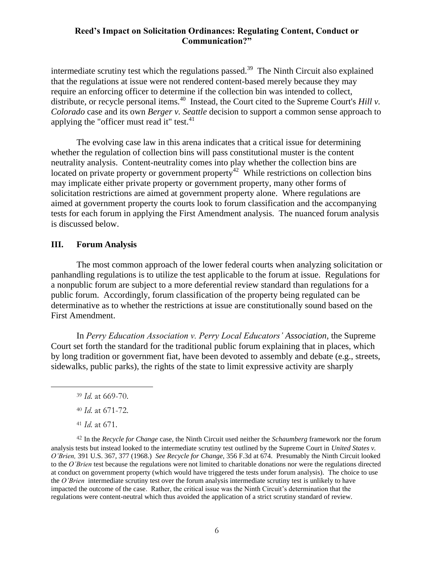intermediate scrutiny test which the regulations passed.<sup>39</sup> The Ninth Circuit also explained that the regulations at issue were not rendered content-based merely because they may require an enforcing officer to determine if the collection bin was intended to collect, distribute, or recycle personal items.<sup>40</sup> Instead, the Court cited to the Supreme Court's *Hill v*. *Colorado* case and its own *Berger v. Seattle* decision to support a common sense approach to applying the "officer must read it" test. $41$ 

The evolving case law in this arena indicates that a critical issue for determining whether the regulation of collection bins will pass constitutional muster is the content neutrality analysis. Content-neutrality comes into play whether the collection bins are located on private property or government property<sup>42</sup> While restrictions on collection bins may implicate either private property or government property, many other forms of solicitation restrictions are aimed at government property alone. Where regulations are aimed at government property the courts look to forum classification and the accompanying tests for each forum in applying the First Amendment analysis. The nuanced forum analysis is discussed below.

#### **III. Forum Analysis**

The most common approach of the lower federal courts when analyzing solicitation or panhandling regulations is to utilize the test applicable to the forum at issue. Regulations for a nonpublic forum are subject to a more deferential review standard than regulations for a public forum. Accordingly, forum classification of the property being regulated can be determinative as to whether the restrictions at issue are constitutionally sound based on the First Amendment.

In *Perry Education Association v. Perry Local Educators' Association,* the Supreme Court set forth the standard for the traditional public forum explaining that in places, which by long tradition or government fiat, have been devoted to assembly and debate (e.g., streets, sidewalks, public parks), the rights of the state to limit expressive activity are sharply

<sup>39</sup> *Id*. at 669-70.

<sup>40</sup> *Id*. at 671-72.

<sup>41</sup> *Id*. at 671.

 $\overline{a}$ 

42 In the *Recycle for Change* case, the Ninth Circuit used neither the *Schaumberg* framework nor the forum analysis tests but instead looked to the intermediate scrutiny test outlined by the Supreme Court in *United States v. O'Brien,* 391 U.S. 367, 377 (1968.) *See Recycle for Change,* 356 F.3d at 674.Presumably the Ninth Circuit looked to the *O'Brien* test because the regulations were not limited to charitable donations nor were the regulations directed at conduct on government property (which would have triggered the tests under forum analysis). The choice to use the *O'Brien* intermediate scrutiny test over the forum analysis intermediate scrutiny test is unlikely to have impacted the outcome of the case. Rather, the critical issue was the Ninth Circuit's determination that the regulations were content-neutral which thus avoided the application of a strict scrutiny standard of review.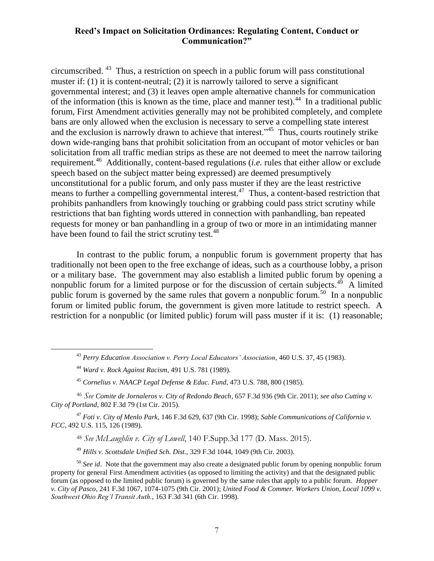circumscribed. <sup>43</sup> Thus, a restriction on speech in a public forum will pass constitutional muster if: (1) it is content-neutral; (2) it is narrowly tailored to serve a significant governmental interest; and (3) it leaves open ample alternative channels for communication of the information (this is known as the time, place and manner test).<sup>44</sup> In a traditional public forum, First Amendment activities generally may not be prohibited completely, and complete bans are only allowed when the exclusion is necessary to serve a compelling state interest and the exclusion is narrowly drawn to achieve that interest."<sup>45</sup> Thus, courts routinely strike down wide-ranging bans that prohibit solicitation from an occupant of motor vehicles or ban solicitation from all traffic median strips as these are not deemed to meet the narrow tailoring requirement.<sup>46</sup> Additionally, content-based regulations (*i.e.* rules that either allow or exclude speech based on the subject matter being expressed) are deemed presumptively unconstitutional for a public forum, and only pass muster if they are the least restrictive means to further a compelling governmental interest.<sup>47</sup> Thus, a content-based restriction that prohibits panhandlers from knowingly touching or grabbing could pass strict scrutiny while restrictions that ban fighting words uttered in connection with panhandling, ban repeated requests for money or ban panhandling in a group of two or more in an intimidating manner have been found to fail the strict scrutiny test.<sup>48</sup>

In contrast to the public forum, a nonpublic forum is government property that has traditionally not been open to the free exchange of ideas, such as a courthouse lobby, a prison or a military base. The government may also establish a limited public forum by opening a nonpublic forum for a limited purpose or for the discussion of certain subjects.<sup>49</sup> A limited public forum is governed by the same rules that govern a nonpublic forum.<sup>50</sup> In a nonpublic forum or limited public forum, the government is given more latitude to restrict speech. A restriction for a nonpublic (or limited public) forum will pass muster if it is: (1) reasonable;

 $\overline{a}$ 

<sup>47</sup> *Foti v. City of Menlo Park*, 146 F.3d 629, 637 (9th Cir. 1998); *Sable Communications of California v. FCC*, 492 U.S. 115, 126 (1989).

<sup>48</sup> *See McLaughlin v. City of Lowell*, 140 F.Supp.3d 177 (D. Mass. 2015).

<sup>49</sup> *Hills v. Scottsdale Unified Sch. Dist.,* 329 F.3d 1044, 1049 (9th Cir. 2003).

<sup>43</sup> *Perry Education Association v. Perry Local Educators' Association*, 460 U.S. 37, 45 (1983).

<sup>44</sup> *Ward v. Rock Against Racism*, 491 U.S. 781 (1989).

<sup>45</sup> *Cornelius v. NAACP Legal Defense & Educ. Fund*, 473 U.S. 788, 800 (1985).

<sup>46</sup> *See Comite de Jornaleros v. City of Redondo Beach,* 657 F.3d 936 (9th Cir. 2011); *see also Cutting v. City of Portland*, 802 F.3d 79 (1st Cir. 2015).

<sup>&</sup>lt;sup>50</sup> See id. Note that the government may also create a designated public forum by opening nonpublic forum property for general First Amendment activities (as opposed to limiting the activity) and that the designated public forum (as opposed to the limited public forum) is governed by the same rules that apply to a public forum. *Hopper v. City of Pasco*, 241 F.3d 1067, 1074-1075 (9th Cir. 2001); *United Food & Commer. Workers Union, Local 1099 v. Southwest Ohio Reg'l Transit Auth.*, 163 F.3d 341 (6th Cir. 1998).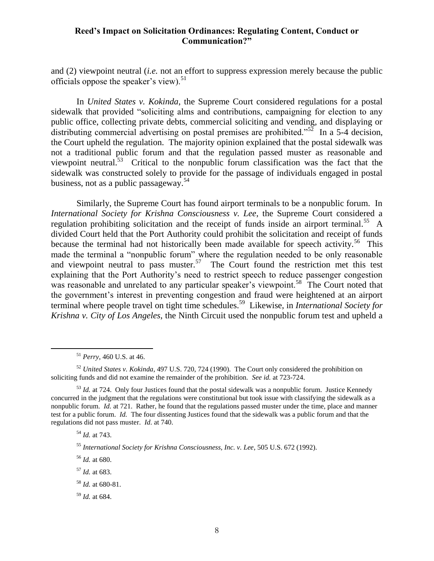and (2) viewpoint neutral (*i.e.* not an effort to suppress expression merely because the public officials oppose the speaker's view). $51$ 

In *United States v. Kokinda*, the Supreme Court considered regulations for a postal sidewalk that provided "soliciting alms and contributions, campaigning for election to any public office, collecting private debts, commercial soliciting and vending, and displaying or distributing commercial advertising on postal premises are prohibited."<sup>52</sup> In a 5-4 decision, the Court upheld the regulation. The majority opinion explained that the postal sidewalk was not a traditional public forum and that the regulation passed muster as reasonable and viewpoint neutral.<sup>53</sup> Critical to the nonpublic forum classification was the fact that the sidewalk was constructed solely to provide for the passage of individuals engaged in postal business, not as a public passageway.<sup>54</sup>

Similarly, the Supreme Court has found airport terminals to be a nonpublic forum. In *International Society for Krishna Consciousness v. Lee*, the Supreme Court considered a regulation prohibiting solicitation and the receipt of funds inside an airport terminal.<sup>55</sup> A divided Court held that the Port Authority could prohibit the solicitation and receipt of funds because the terminal had not historically been made available for speech activity.<sup>56</sup> This made the terminal a "nonpublic forum" where the regulation needed to be only reasonable and viewpoint neutral to pass muster.<sup>57</sup> The Court found the restriction met this test explaining that the Port Authority's need to restrict speech to reduce passenger congestion was reasonable and unrelated to any particular speaker's viewpoint.<sup>58</sup> The Court noted that the government's interest in preventing congestion and fraud were heightened at an airport terminal where people travel on tight time schedules.<sup>59</sup> Likewise, in *International Society for Krishna v. City of Los Angeles*, the Ninth Circuit used the nonpublic forum test and upheld a

<sup>54</sup> *Id.* at 743.

 $\overline{a}$ 

<sup>55</sup> *International Society for Krishna Consciousness, Inc. v. Lee*, 505 U.S. 672 (1992).

<sup>56</sup> *Id.* at 680.

<sup>57</sup> *Id.* at 683.

<sup>58</sup> *Id.* at 680-81.

<sup>59</sup> *Id.* at 684.

<sup>51</sup> *Perry*, 460 U.S. at 46.

<sup>52</sup> *United States v. Kokinda*, 497 U.S. 720, 724 (1990). The Court only considered the prohibition on soliciting funds and did not examine the remainder of the prohibition. *See id.* at 723-724.

<sup>&</sup>lt;sup>53</sup> *Id.* at 724. Only four Justices found that the postal sidewalk was a nonpublic forum. Justice Kennedy concurred in the judgment that the regulations were constitutional but took issue with classifying the sidewalk as a nonpublic forum. *Id.* at 721. Rather, he found that the regulations passed muster under the time, place and manner test for a public forum. *Id.* The four dissenting Justices found that the sidewalk was a public forum and that the regulations did not pass muster. *Id.* at 740.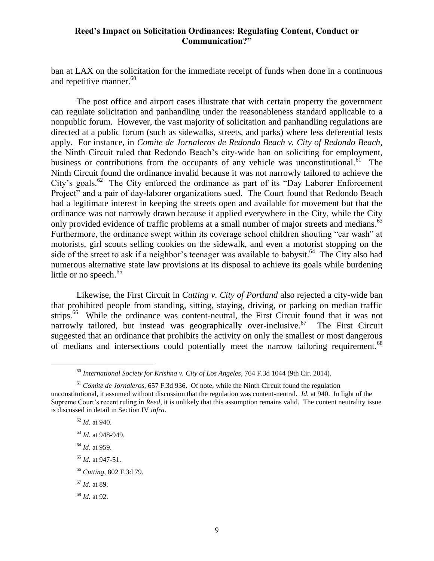ban at LAX on the solicitation for the immediate receipt of funds when done in a continuous and repetitive manner. $60$ 

The post office and airport cases illustrate that with certain property the government can regulate solicitation and panhandling under the reasonableness standard applicable to a nonpublic forum. However, the vast majority of solicitation and panhandling regulations are directed at a public forum (such as sidewalks, streets, and parks) where less deferential tests apply. For instance, in *Comite de Jornaleros de Redondo Beach v. City of Redondo Beach,* the Ninth Circuit ruled that Redondo Beach's city-wide ban on soliciting for employment, business or contributions from the occupants of any vehicle was unconstitutional.<sup>61</sup> The Ninth Circuit found the ordinance invalid because it was not narrowly tailored to achieve the City's goals.<sup>62</sup> The City enforced the ordinance as part of its "Day Laborer Enforcement" Project" and a pair of day-laborer organizations sued. The Court found that Redondo Beach had a legitimate interest in keeping the streets open and available for movement but that the ordinance was not narrowly drawn because it applied everywhere in the City, while the City only provided evidence of traffic problems at a small number of major streets and medians.<sup>63</sup> Furthermore, the ordinance swept within its coverage school children shouting "car wash" at motorists, girl scouts selling cookies on the sidewalk, and even a motorist stopping on the side of the street to ask if a neighbor's teenager was available to babysit.<sup>64</sup> The City also had numerous alternative state law provisions at its disposal to achieve its goals while burdening little or no speech. $65$ 

Likewise, the First Circuit in *Cutting v. City of Portland* also rejected a city-wide ban that prohibited people from standing, sitting, staying, driving, or parking on median traffic strips.<sup>66</sup> While the ordinance was content-neutral, the First Circuit found that it was not narrowly tailored, but instead was geographically over-inclusive.<sup>67</sup> The First Circuit suggested that an ordinance that prohibits the activity on only the smallest or most dangerous of medians and intersections could potentially meet the narrow tailoring requirement.<sup>68</sup>

- <sup>64</sup> *Id.* at 959.
- <sup>65</sup> *Id.* at 947-51.
- <sup>66</sup> *Cutting*, 802 F.3d 79.
- <sup>67</sup> *Id.* at 89.
- <sup>68</sup> *Id.* at 92.

<sup>60</sup> *International Society for Krishna v. City of Los Angeles*, 764 F.3d 1044 (9th Cir. 2014).

<sup>61</sup> *Comite de Jornaleros,* 657 F.3d 936. Of note, while the Ninth Circuit found the regulation unconstitutional, it assumed without discussion that the regulation was content-neutral. *Id.* at 940. In light of the Supreme Court's recent ruling in *Reed*, it is unlikely that this assumption remains valid. The content neutrality issue is discussed in detail in Section IV *infra*.

<sup>62</sup> *Id.* at 940.

<sup>63</sup> *Id.* at 948-949.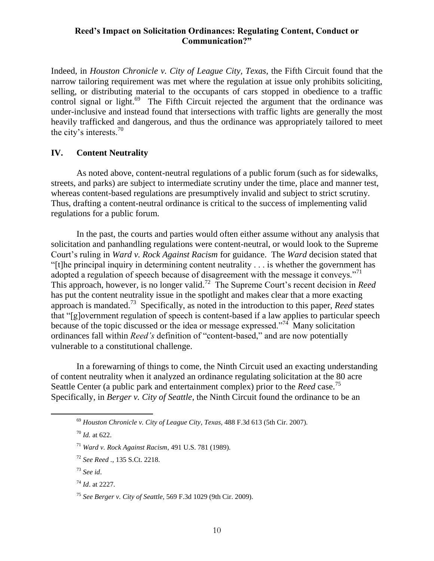Indeed, in *Houston Chronicle v. City of League City, Texas*, the Fifth Circuit found that the narrow tailoring requirement was met where the regulation at issue only prohibits soliciting, selling, or distributing material to the occupants of cars stopped in obedience to a traffic control signal or light.<sup>69</sup> The Fifth Circuit rejected the argument that the ordinance was under-inclusive and instead found that intersections with traffic lights are generally the most heavily trafficked and dangerous, and thus the ordinance was appropriately tailored to meet the city's interests.<sup>70</sup>

#### **IV. Content Neutrality**

As noted above, content-neutral regulations of a public forum (such as for sidewalks, streets, and parks) are subject to intermediate scrutiny under the time, place and manner test, whereas content-based regulations are presumptively invalid and subject to strict scrutiny. Thus, drafting a content-neutral ordinance is critical to the success of implementing valid regulations for a public forum.

In the past, the courts and parties would often either assume without any analysis that solicitation and panhandling regulations were content-neutral, or would look to the Supreme Court's ruling in *Ward v. Rock Against Racism* for guidance. The *Ward* decision stated that "[t]he principal inquiry in determining content neutrality . . . is whether the government has adopted a regulation of speech because of disagreement with the message it conveys."<sup>71</sup> This approach, however, is no longer valid.<sup>72</sup> The Supreme Court's recent decision in *Reed* has put the content neutrality issue in the spotlight and makes clear that a more exacting approach is mandated.<sup>73</sup> Specifically, as noted in the introduction to this paper, *Reed* states that "[g]overnment regulation of speech is content-based if a law applies to particular speech because of the topic discussed or the idea or message expressed."<sup>74</sup> Many solicitation ordinances fall within *Reed's* definition of "content-based," and are now potentially vulnerable to a constitutional challenge.

In a forewarning of things to come, the Ninth Circuit used an exacting understanding of content neutrality when it analyzed an ordinance regulating solicitation at the 80 acre Seattle Center (a public park and entertainment complex) prior to the *Reed* case.<sup>75</sup> Specifically, in *Berger v. City of Seattle*, the Ninth Circuit found the ordinance to be an

- <sup>72</sup> *See Reed .*, 135 S.Ct. 2218.
- <sup>73</sup> *See id*.

<sup>69</sup> *Houston Chronicle v. City of League City*, *Texas,* 488 F.3d 613 (5th Cir. 2007).

<sup>70</sup> *Id.* at 622.

<sup>71</sup> *Ward v. Rock Against Racism*, 491 U.S. 781 (1989).

<sup>74</sup> *Id*. at 2227.

<sup>75</sup> *See Berger v. City of Seattle,* 569 F.3d 1029 (9th Cir. 2009).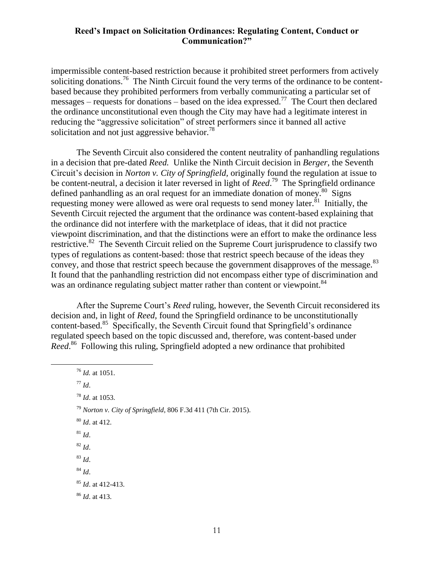impermissible content-based restriction because it prohibited street performers from actively soliciting donations.<sup>76</sup> The Ninth Circuit found the very terms of the ordinance to be contentbased because they prohibited performers from verbally communicating a particular set of messages – requests for donations – based on the idea expressed.<sup>77</sup> The Court then declared the ordinance unconstitutional even though the City may have had a legitimate interest in reducing the "aggressive solicitation" of street performers since it banned all active solicitation and not just aggressive behavior.<sup>78</sup>

The Seventh Circuit also considered the content neutrality of panhandling regulations in a decision that pre-dated *Reed.* Unlike the Ninth Circuit decision in *Berger*, the Seventh Circuit's decision in *Norton v. City of Springfield,* originally found the regulation at issue to be content-neutral, a decision it later reversed in light of *Reed*. 79 The Springfield ordinance defined panhandling as an oral request for an immediate donation of money.<sup>80</sup> Signs requesting money were allowed as were oral requests to send money later.<sup>81</sup> Initially, the Seventh Circuit rejected the argument that the ordinance was content-based explaining that the ordinance did not interfere with the marketplace of ideas, that it did not practice viewpoint discrimination, and that the distinctions were an effort to make the ordinance less restrictive.<sup>82</sup> The Seventh Circuit relied on the Supreme Court jurisprudence to classify two types of regulations as content-based: those that restrict speech because of the ideas they convey, and those that restrict speech because the government disapproves of the message.<sup>83</sup> It found that the panhandling restriction did not encompass either type of discrimination and was an ordinance regulating subject matter rather than content or viewpoint.<sup>84</sup>

After the Supreme Court's *Reed* ruling, however, the Seventh Circuit reconsidered its decision and, in light of *Reed,* found the Springfield ordinance to be unconstitutionally content-based.<sup>85</sup> Specifically, the Seventh Circuit found that Springfield's ordinance regulated speech based on the topic discussed and, therefore, was content-based under Reed.<sup>86</sup> Following this ruling, Springfield adopted a new ordinance that prohibited

<sup>76</sup> *Id.* at 1051. <sup>77</sup> *Id*. <sup>78</sup> *Id*. at 1053. <sup>79</sup> *Norton v. City of Springfield*, 806 F.3d 411 (7th Cir. 2015). <sup>80</sup> *Id*. at 412.  $81$  *Id.* <sup>82</sup> *Id*. <sup>83</sup> *Id*. <sup>84</sup> *Id*. <sup>85</sup> *Id*. at 412-413. <sup>86</sup> *Id*. at 413.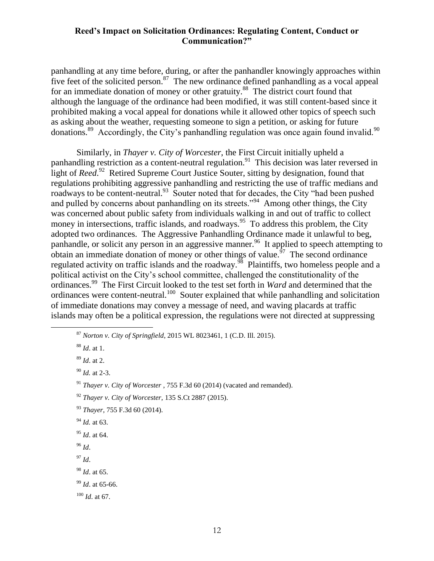panhandling at any time before, during, or after the panhandler knowingly approaches within five feet of the solicited person. $87$  The new ordinance defined panhandling as a vocal appeal for an immediate donation of money or other gratuity.<sup>88</sup> The district court found that although the language of the ordinance had been modified, it was still content-based since it prohibited making a vocal appeal for donations while it allowed other topics of speech such as asking about the weather, requesting someone to sign a petition, or asking for future donations.<sup>89</sup> Accordingly, the City's panhandling regulation was once again found invalid.<sup>90</sup>

Similarly, in *Thayer v. City of Worcester,* the First Circuit initially upheld a panhandling restriction as a content-neutral regulation.<sup>91</sup> This decision was later reversed in light of *Reed*. 92 Retired Supreme Court Justice Souter, sitting by designation, found that regulations prohibiting aggressive panhandling and restricting the use of traffic medians and roadways to be content-neutral.<sup>93</sup> Souter noted that for decades, the City "had been pushed and pulled by concerns about panhandling on its streets."<sup>94</sup> Among other things, the City was concerned about public safety from individuals walking in and out of traffic to collect money in intersections, traffic islands, and roadways.<sup>95</sup> To address this problem, the City adopted two ordinances. The Aggressive Panhandling Ordinance made it unlawful to beg, panhandle, or solicit any person in an aggressive manner.<sup>96</sup> It applied to speech attempting to obtain an immediate donation of money or other things of value.  $\frac{57}{7}$  The second ordinance regulated activity on traffic islands and the roadway.<sup>98</sup> Plaintiffs, two homeless people and a political activist on the City's school committee, challenged the constitutionality of the ordinances.<sup>99</sup> The First Circuit looked to the test set forth in *Ward* and determined that the ordinances were content-neutral.<sup>100</sup> Souter explained that while panhandling and solicitation of immediate donations may convey a message of need, and waving placards at traffic islands may often be a political expression, the regulations were not directed at suppressing

 $\overline{a}$ 

- <sup>96</sup> *Id*.
- <sup>97</sup> *Id*.
- <sup>98</sup> *Id*. at 65.

<sup>100</sup> *Id*. at 67.

<sup>87</sup> *Norton v. City of Springfield*, 2015 WL 8023461, 1 (C.D. Ill. 2015).

<sup>88</sup> *Id*. at 1.

<sup>89</sup> *Id*. at 2.

<sup>90</sup> *Id.* at 2-3.

<sup>91</sup> *Thayer v. City of Worcester* , 755 F.3d 60 (2014) (vacated and remanded).

<sup>92</sup> *Thayer v. City of Worcester*, 135 S.Ct 2887 (2015).

<sup>93</sup> *Thayer*, 755 F.3d 60 (2014).

<sup>94</sup> *Id.* at 63.

<sup>95</sup> *Id*. at 64.

<sup>99</sup> *Id*. at 65-66.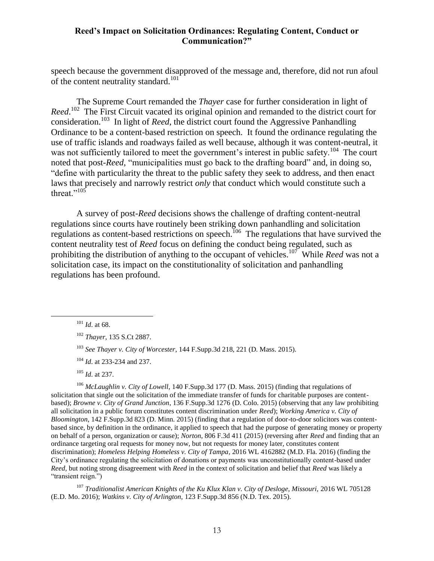speech because the government disapproved of the message and, therefore, did not run afoul of the content neutrality standard.<sup>101</sup>

The Supreme Court remanded the *Thayer* case for further consideration in light of Reed.<sup>102</sup> The First Circuit vacated its original opinion and remanded to the district court for consideration.<sup>103</sup> In light of *Reed*, the district court found the Aggressive Panhandling Ordinance to be a content-based restriction on speech. It found the ordinance regulating the use of traffic islands and roadways failed as well because, although it was content-neutral, it was not sufficiently tailored to meet the government's interest in public safety.<sup>104</sup> The court noted that post-*Reed*, "municipalities must go back to the drafting board" and, in doing so, "define with particularity the threat to the public safety they seek to address, and then enact laws that precisely and narrowly restrict *only* that conduct which would constitute such a threat."<sup> $105$ </sup>

A survey of post-*Reed* decisions shows the challenge of drafting content-neutral regulations since courts have routinely been striking down panhandling and solicitation regulations as content-based restrictions on speech.<sup>106</sup> The regulations that have survived the content neutrality test of *Reed* focus on defining the conduct being regulated, such as prohibiting the distribution of anything to the occupant of vehicles.<sup>107</sup> While *Reed* was not a solicitation case, its impact on the constitutionality of solicitation and panhandling regulations has been profound.

 $\overline{a}$ 

- <sup>104</sup> *Id*. at 233-234 and 237.
- <sup>105</sup> *Id*. at 237.

<sup>106</sup> *McLaughlin v. City of Lowell*, 140 F.Supp.3d 177 (D. Mass. 2015) (finding that regulations of solicitation that single out the solicitation of the immediate transfer of funds for charitable purposes are contentbased); *Browne v. City of Grand Junction*, 136 F.Supp.3d 1276 (D. Colo. 2015) (observing that any law prohibiting all solicitation in a public forum constitutes content discrimination under *Reed*); *Working America v. City of Bloomington*, 142 F.Supp.3d 823 (D. Minn. 2015) (finding that a regulation of door-to-door solicitors was contentbased since, by definition in the ordinance, it applied to speech that had the purpose of generating money or property on behalf of a person, organization or cause); *Norton*, 806 F.3d 411 (2015) (reversing after *Reed* and finding that an ordinance targeting oral requests for money now, but not requests for money later, constitutes content discrimination); *Homeless Helping Homeless v. City of Tampa*, 2016 WL 4162882 (M.D. Fla. 2016) (finding the City's ordinance regulating the solicitation of donations or payments was unconstitutionally content-based under *Reed,* but noting strong disagreement with *Reed* in the context of solicitation and belief that *Reed* was likely a "transient reign.")

<sup>107</sup> Traditionalist American Knights of the Ku Klux Klan v. City of Desloge, Missouri, 2016 WL 705128 (E.D. Mo. 2016); *Watkins v. City of Arlington,* 123 F.Supp.3d 856 (N.D. Tex. 2015).

<sup>101</sup> *Id*. at 68.

<sup>102</sup> *Thayer*, 135 S.Ct 2887.

<sup>103</sup> *See Thayer v. City of Worcester*, 144 F.Supp.3d 218, 221 (D. Mass. 2015).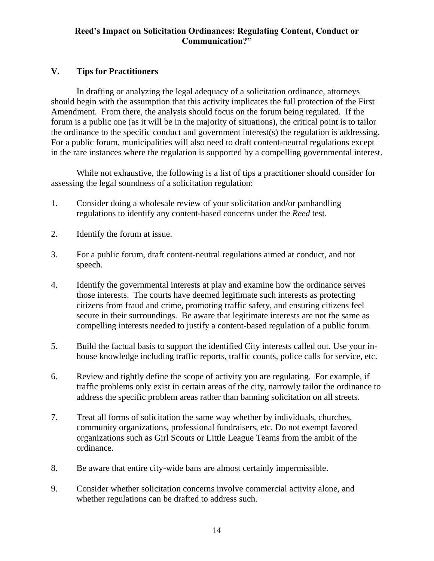# **V. Tips for Practitioners**

In drafting or analyzing the legal adequacy of a solicitation ordinance, attorneys should begin with the assumption that this activity implicates the full protection of the First Amendment. From there, the analysis should focus on the forum being regulated. If the forum is a public one (as it will be in the majority of situations), the critical point is to tailor the ordinance to the specific conduct and government interest(s) the regulation is addressing. For a public forum, municipalities will also need to draft content-neutral regulations except in the rare instances where the regulation is supported by a compelling governmental interest.

While not exhaustive, the following is a list of tips a practitioner should consider for assessing the legal soundness of a solicitation regulation:

- 1. Consider doing a wholesale review of your solicitation and/or panhandling regulations to identify any content-based concerns under the *Reed* test.
- 2. Identify the forum at issue.
- 3. For a public forum, draft content-neutral regulations aimed at conduct, and not speech.
- 4. Identify the governmental interests at play and examine how the ordinance serves those interests. The courts have deemed legitimate such interests as protecting citizens from fraud and crime, promoting traffic safety, and ensuring citizens feel secure in their surroundings. Be aware that legitimate interests are not the same as compelling interests needed to justify a content-based regulation of a public forum.
- 5. Build the factual basis to support the identified City interests called out. Use your inhouse knowledge including traffic reports, traffic counts, police calls for service, etc.
- 6. Review and tightly define the scope of activity you are regulating. For example, if traffic problems only exist in certain areas of the city, narrowly tailor the ordinance to address the specific problem areas rather than banning solicitation on all streets.
- 7. Treat all forms of solicitation the same way whether by individuals, churches, community organizations, professional fundraisers, etc. Do not exempt favored organizations such as Girl Scouts or Little League Teams from the ambit of the ordinance.
- 8. Be aware that entire city-wide bans are almost certainly impermissible.
- 9. Consider whether solicitation concerns involve commercial activity alone, and whether regulations can be drafted to address such.